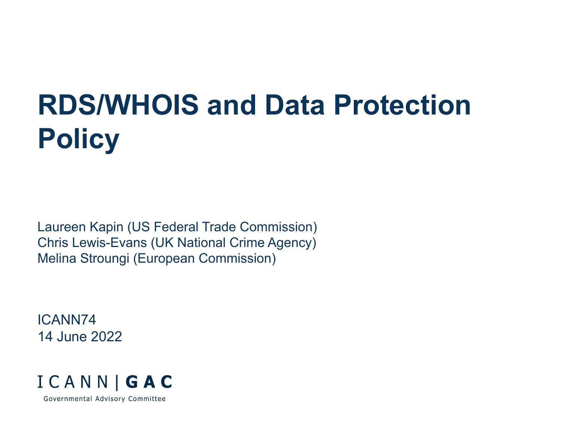# **RDS/WHOIS and Data Protection Policy**

Laureen Kapin (US Federal Trade Commission) Chris Lewis-Evans (UK National Crime Agency) Melina Stroungi (European Commission)

ICANN74 14 June 2022

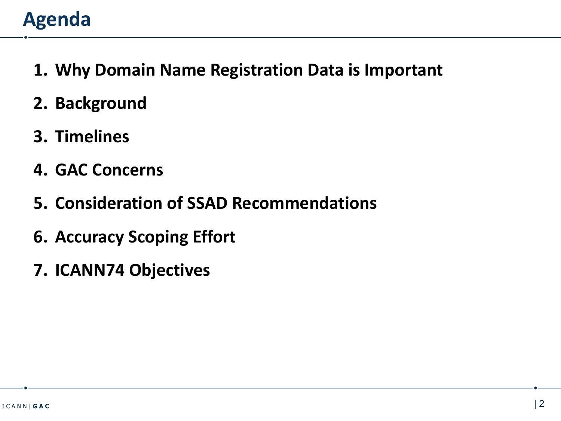## **Agenda**

- **1. Why Domain Name Registration Data is Important**
- **2. Background**
- **3. Timelines**
- **4. GAC Concerns**
- **5. Consideration of SSAD Recommendations**
- **6. Accuracy Scoping Effort**
- **7. ICANN74 Objectives**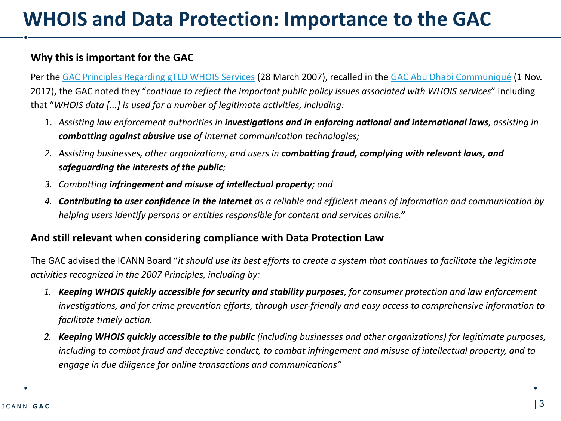## **WHOIS and Data Protection: Importance to the GAC**

### **Why this is important for the GAC**

Per the [GAC Principles Regarding gTLD WHOIS Services](https://gac.icann.org/contentMigrated/gac-principles-regarding-gtld-whois-services) (28 March 2007), recalled in the [GAC Abu Dhabi Communiqué](https://gac.icann.org/contentMigrated/icann60-abu-dhabi-communique) (1 Nov. 2017), the GAC noted they "*continue to reflect the important public policy issues associated with WHOIS services*" including that "*WHOIS data [...] is used for a number of legitimate activities, including:* 

- 1. *Assisting law enforcement authorities in investigations and in enforcing national and international laws, assisting in combatting against abusive use of internet communication technologies;*
- *2. Assisting businesses, other organizations, and users in combatting fraud, complying with relevant laws, and safeguarding the interests of the public;*
- *3. Combatting infringement and misuse of intellectual property; and*
- *4. Contributing to user confidence in the Internet as a reliable and efficient means of information and communication by helping users identify persons or entities responsible for content and services online."*

#### **And still relevant when considering compliance with Data Protection Law**

The GAC advised the ICANN Board "*it should use its best efforts to create a system that continues to facilitate the legitimate activities recognized in the 2007 Principles, including by:* 

- *1. Keeping WHOIS quickly accessible for security and stability purposes, for consumer protection and law enforcement investigations, and for crime prevention efforts, through user-friendly and easy access to comprehensive information to facilitate timely action.*
- *2. Keeping WHOIS quickly accessible to the public (including businesses and other organizations) for legitimate purposes, including to combat fraud and deceptive conduct, to combat infringement and misuse of intellectual property, and to engage in due diligence for online transactions and communications"*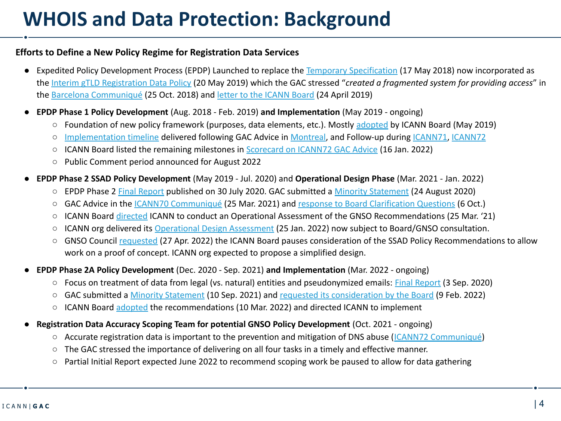## **WHOIS and Data Protection: Background**

#### **Efforts to Define a New Policy Regime for Registration Data Services**

- **●** Expedited Policy Development Process (EPDP) Launched to replace the [Temporary Specification](https://www.icann.org/resources/pages/gtld-registration-data-specs-en/) (17 May 2018) now incorporated as the [Interim gTLD Registration Data Policy](https://www.icann.org/resources/pages/interim-registration-data-policy-en) (20 May 2019) which the GAC stressed "*created a fragmented system for providing access*" in the [Barcelona Communiqué](https://gac.icann.org/contentMigrated/icann63-barcelona-communique) (25 Oct. 2018) and [letter to the ICANN Board](https://gac.icann.org/contentMigrated/gac-response-to-icann-board-regarding-epdp-phase-1-policy-recommendations) (24 April 2019)
- **● EPDP Phase 1 Policy Development** (Aug. 2018 Feb. 2019) **and Implementation** (May 2019 ongoing)
	- Foundation of new policy framework (purposes, data elements, etc.). Mostly [adopted](https://www.icann.org/en/system/files/files/epdp-scorecard-15may19-en.pdf) by ICANN Board (May 2019)
	- [Implementation timeline](https://community.icann.org/display/RDPIRT/RegDataPolicy+Implementation+Resource+Documents?preview=/124847947/195658689/EPDP%20Phase%201%20Timeline%20(Updated%2020%20April%202022).pdf) delivered following GAC Advice in [Montreal](https://gac.icann.org/contentMigrated/icann66-montreal-communique), and Follow-up during [ICANN71,](https://gac.icann.org/contentMigrated/icann71-gac-communique) [ICANN72](https://gac.icann.org/contentMigrated/icann72-gac-communique)
	- ICANN Board listed the remaining milestones in [Scorecard on ICANN72 GAC Advice](https://www.icann.org/en/system/files/files/resolutions-icann72-gac-advice-scorecard-16jan22-en.pdf) (16 Jan. 2022)
	- Public Comment period announced for August 2022
- **● EPDP Phase 2 SSAD Policy Development** (May 2019 Jul. 2020) and **Operational Design Phase** (Mar. 2021 Jan. 2022)
	- EPDP Phase 2 [Final Report](https://gnso.icann.org/en/correspondence/epdp-phase-2-temp-spec-gtld-registration-data-2-31jul20-en.pdf) published on 30 July 2020. GAC submitted a [Minority Statement](https://gac.icann.org/statement/public/gac-minority-statement-epdp-phase2-24aug20.pdf) (24 August 2020)
	- GAC Advice in the [ICANN70 Communiqué](https://gac.icann.org/contentMigrated/icann70-gac-communique) (25 Mar. 2021) and [response to Board Clarification Questions](https://gac.icann.org/contentMigrated/gac-response-to-board-clarifying-questions-on-gac-icann70-communique-whois-data-protection) (6 Oct.)
	- ICANN Board [directed](https://www.icann.org/resources/board-material/resolutions-2021-03-25-en#2.c) ICANN to conduct an Operational Assessment of the GNSO Recommendations (25 Mar. '21)
	- ICANN org delivered its [Operational Design Assessment](https://www.icann.org/en/system/files/files/ssad-oda-25jan22-en.pdf) (25 Jan. 2022) now subject to Board/GNSO consultation.
	- GNSO Council [requested](https://gnso.icann.org/sites/default/files/policy/2022/correspondence/fouquart-to-botterman-27apr22-en.pdf) (27 Apr. 2022) the ICANN Board pauses consideration of the SSAD Policy Recommendations to allow work on a proof of concept. ICANN org expected to propose a simplified design.
- **● EPDP Phase 2A Policy Development** (Dec. 2020 Sep. 2021) **and Implementation** (Mar. 2022 ongoing)
	- Focus on treatment of data from legal (vs. natural) entities and pseudonymized emails: [Final Report](https://gnso.icann.org/sites/default/files/file/field-file-attach/epdp-phase-2a-updated-final-report-03sep21-en.pdf) (3 Sep. 2020)
	- GAC submitted a [Minority Statement](https://gac.icann.org/statement/public/gac-minority-statement-epdp-2a-10sep21.pdf) (10 Sep. 2021) and [requested its consideration by the Board](https://gac.icann.org/contentMigrated/gac-response-to-icann-board-on-epdp-phase-2a-recommendations) (9 Feb. 2022)
	- ICANN Board [adopted](https://www.icann.org/resources/board-material/resolutions-2022-03-10-en#2.b) the recommendations (10 Mar. 2022) and directed ICANN to implement
- **● Registration Data Accuracy Scoping Team for potential GNSO Policy Development** (Oct. 2021 ongoing)
	- Accurate registration data is important to the prevention and mitigation of DNS abuse ([ICANN72 Communiqué](https://gac.icann.org/contentMigrated/icann72-gac-communique))
	- The GAC stressed the importance of delivering on all four tasks in a timely and effective manner.
	- Partial Initial Report expected June 2022 to recommend scoping work be paused to allow for data gathering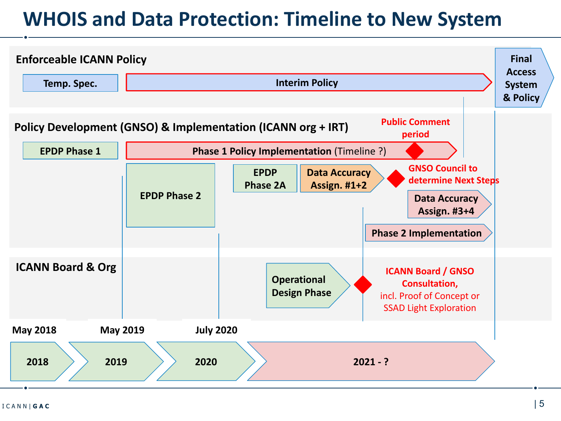## **WHOIS and Data Protection: Timeline to New System**

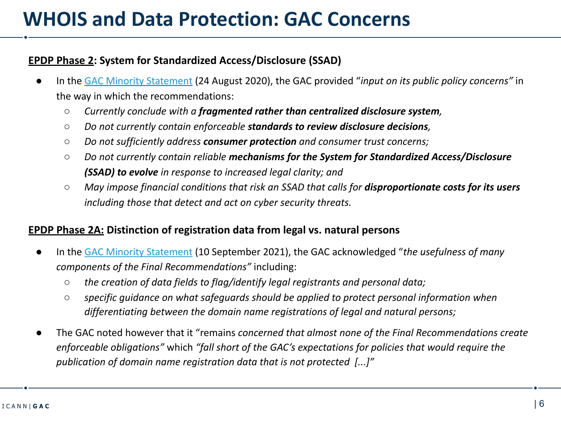## **WHOIS and Data Protection: GAC Concerns**

### **EPDP Phase 2: System for Standardized Access/Disclosure (SSAD)**

- In the [GAC Minority Statement](https://gac.icann.org/statement/public/gac-minority-statement-epdp-phase2-24aug20.pdf) (24 August 2020), the GAC provided "*input on its public policy concerns*" in the way in which the recommendations:
	- *Currently conclude with a fragmented rather than centralized disclosure system,*
	- *Do not currently contain enforceable standards to review disclosure decisions,*
	- *Do not sufficiently address consumer protection and consumer trust concerns;*
	- *Do not currently contain reliable mechanisms for the System for Standardized Access/Disclosure (SSAD) to evolve in response to increased legal clarity; and*
	- *May impose financial conditions that risk an SSAD that calls for disproportionate costs for its users including those that detect and act on cyber security threats.*

### **EPDP Phase 2A: Distinction of registration data from legal vs. natural persons**

- In the [GAC Minority Statement](https://gac.icann.org/statement/public/gac-minority-statement-epdp-2a-10sep21.pdf) (10 September 2021), the GAC acknowledged "*the usefulness of many components of the Final Recommendations"* including:
	- *○ the creation of data fields to flag/identify legal registrants and personal data;*
	- *○ specific guidance on what safeguards should be applied to protect personal information when differentiating between the domain name registrations of legal and natural persons;*
- *●* The GAC noted however that it "remains *concerned that almost none of the Final Recommendations create enforceable obligations"* which *"fall short of the GAC's expectations for policies that would require the publication of domain name registration data that is not protected [...]"*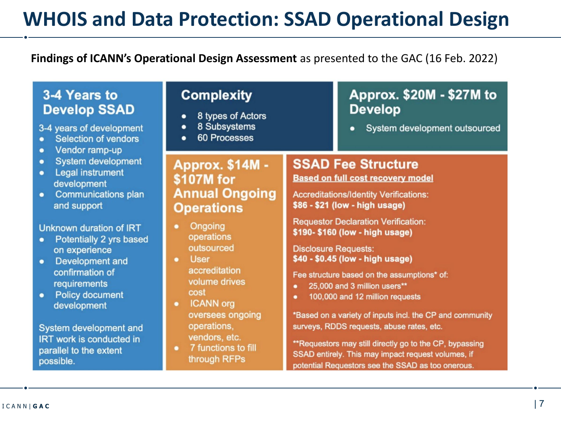## **WHOIS and Data Protection: SSAD Operational Design**

## **Findings of ICANN's Operational Design Assessment** as presented to the GAC (16 Feb. 2022)

## 3-4 Years to **Develop SSAD**

3-4 years of development

- Selection of vendors
- Vendor ramp-up  $\bullet$
- **System development**  $\bullet$
- **Legal instrument**  $\bullet$ development
- **Communications plan**  $\bullet$ and support

#### Unknown duration of IRT

- Potentially 2 yrs based  $\bullet$ on experience
- Development and  $\bullet$ confirmation of requirements
- **Policy document**  $\bullet$ development

System development and **IRT** work is conducted in parallel to the extent possible.

## **Complexity**

- 8 types of Actors  $\bullet$
- 8 Subsystems  $\bullet$
- 60 Processes  $\bullet$

## **Approx. \$14M -**\$107M for **Annual Ongoing Operations**

- **Ongoing** operations outsourced
- **User**  $\bullet$ accreditation volume drives cost
- **ICANN** org  $\bullet$ oversees ongoing operations, vendors, etc.
- 7 functions to fill  $\bullet$ through RFPs

## Approx. \$20M - \$27M to **Develop**

System development outsourced  $\bullet$ 

#### **SSAD Fee Structure Based on full cost recovery model**

**Accreditations/Identity Verifications:** \$86 - \$21 (low - high usage)

**Requestor Declaration Verification:** \$190-\$160 (low - high usage)

**Disclosure Requests:** \$40 - \$0.45 (low - high usage)

Fee structure based on the assumptions\* of:

- 25,000 and 3 million users\*\* ٠
- 100,000 and 12 million requests ٠

\*Based on a variety of inputs incl. the CP and community surveys, RDDS requests, abuse rates, etc.

\*\*Requestors may still directly go to the CP, bypassing SSAD entirely. This may impact request volumes, if potential Requestors see the SSAD as too onerous.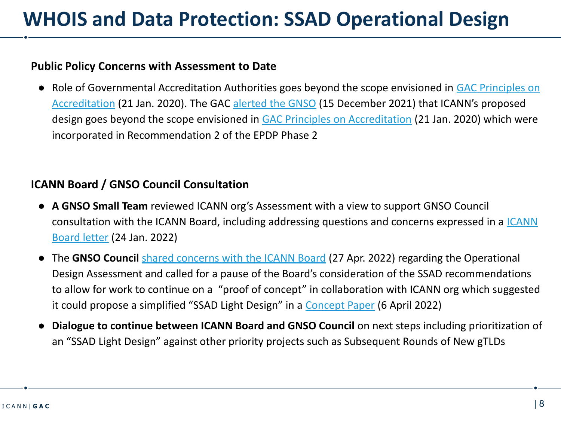## **Public Policy Concerns with Assessment to Date**

● Role of Governmental Accreditation Authorities goes beyond the scope envisioned in [GAC Principles on](https://gac.icann.org/file-asset/public/gac-accreditation-principles-input-to-epdp-21jan20.pdf) [Accreditation](https://gac.icann.org/file-asset/public/gac-accreditation-principles-input-to-epdp-21jan20.pdf) (21 Jan. 2020). The GAC [alerted the GNSO](https://gac.icann.org/contentMigrated/proposed-design-for-governmental-accreditation-authorities-in-a-standardized-system-for-access-disclosure-of-registration-data) (15 December 2021) that ICANN's proposed design goes beyond the scope envisioned in [GAC Principles on Accreditation](https://gac.icann.org/file-asset/public/gac-accreditation-principles-input-to-epdp-21jan20.pdf) (21 Jan. 2020) which were incorporated in Recommendation 2 of the EPDP Phase 2

## **ICANN Board / GNSO Council Consultation**

- **A GNSO Small Team** reviewed ICANN org's Assessment with a view to support GNSO Council consultation with the ICANN Board, including addressing questions and concerns expressed in a [ICANN](https://www.icann.org/en/system/files/correspondence/botterman-to-fouquart-24jan22-en.pdf) [Board letter](https://www.icann.org/en/system/files/correspondence/botterman-to-fouquart-24jan22-en.pdf) (24 Jan. 2022)
- **●** The **GNSO Council** [shared concerns with the ICANN Board](https://gnso.icann.org/sites/default/files/policy/2022/correspondence/fouquart-to-botterman-27apr22-en.pdf) (27 Apr. 2022) regarding the Operational Design Assessment and called for a pause of the Board's consideration of the SSAD recommendations to allow for work to continue on a "proof of concept" in collaboration with ICANN org which suggested it could propose a simplified "SSAD Light Design" in a [Concept Paper](https://mm.icann.org/pipermail/gnso-epdpp2-smallteam/2022-April/000124.html) (6 April 2022)
- **● Dialogue to continue between ICANN Board and GNSO Council** on next steps including prioritization of an "SSAD Light Design" against other priority projects such as Subsequent Rounds of New gTLDs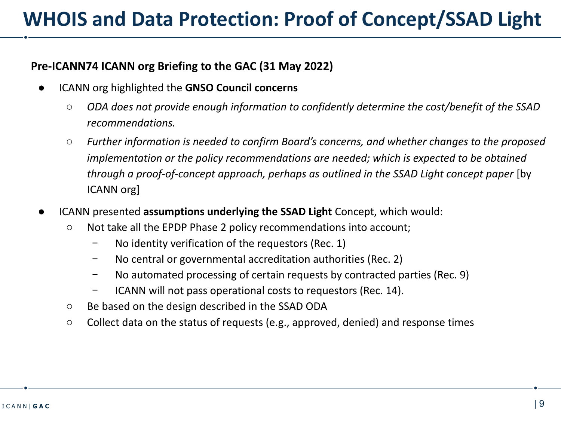## **Pre-ICANN74 ICANN org Briefing to the GAC (31 May 2022)**

- **ICANN org highlighted the GNSO Council concerns** 
	- *○ ODA does not provide enough information to confidently determine the cost/benefit of the SSAD recommendations.*
	- *Further information is needed to confirm Board's concerns, and whether changes to the proposed implementation or the policy recommendations are needed; which is expected to be obtained through a proof-of-concept approach, perhaps as outlined in the SSAD Light concept paper* [by ICANN org]
- **ICANN presented assumptions underlying the SSAD Light** Concept, which would:
	- Not take all the EPDP Phase 2 policy recommendations into account;
		- No identity verification of the requestors (Rec. 1)
		- ﹣ No central or governmental accreditation authorities (Rec. 2)
		- ﹣ No automated processing of certain requests by contracted parties (Rec. 9)
		- ﹣ ICANN will not pass operational costs to requestors (Rec. 14).
	- Be based on the design described in the SSAD ODA
	- Collect data on the status of requests (e.g., approved, denied) and response times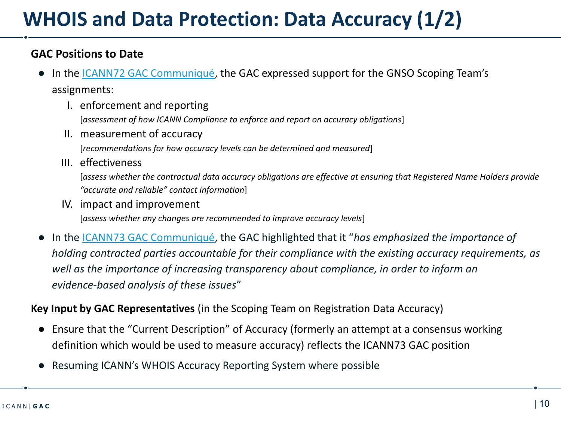## **GAC Positions to Date**

- In the <u>ICANN72 GAC Communiqué</u>, the GAC expressed support for the GNSO Scoping Team's assignments:
	- I. enforcement and reporting [*assessment of how ICANN Compliance to enforce and report on accuracy obligations*]
	- II. measurement of accuracy

[*recommendations for how accuracy levels can be determined and measured*]

III. effectiveness

[*assess whether the contractual data accuracy obligations are effective at ensuring that Registered Name Holders provide "accurate and reliable" contact information*]

IV. impact and improvement

[*assess whether any changes are recommended to improve accuracy levels*]

**●** In the [ICANN73 GAC Communiqué,](https://gac.icann.org/contentMigrated/icann73-gac-communique) the GAC highlighted that it "*has emphasized the importance of holding contracted parties accountable for their compliance with the existing accuracy requirements, as well as the importance of increasing transparency about compliance, in order to inform an evidence-based analysis of these issues*"

**Key Input by GAC Representatives** (in the Scoping Team on Registration Data Accuracy)

- **●** Ensure that the "Current Description" of Accuracy (formerly an attempt at a consensus working definition which would be used to measure accuracy) reflects the ICANN73 GAC position
- **●** Resuming ICANN's WHOIS Accuracy Reporting System where possible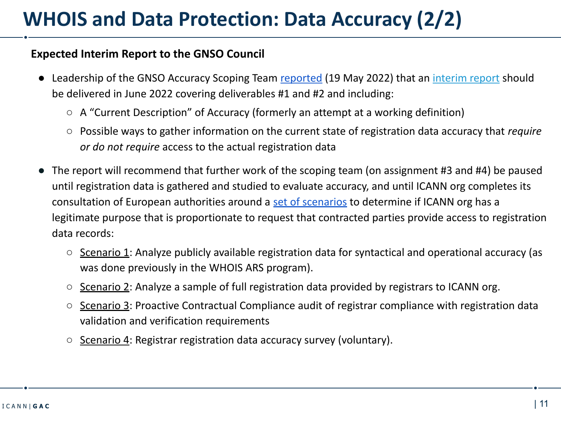## **Expected Interim Report to the GNSO Council**

- Leadership of the GNSO Accuracy Scoping Team [reported](https://gnso.icann.org/sites/default/files/policy/2022/correspondence/palage-to-gnso-council-10may22-en.pdf) (19 May 2022) that an [interim report](https://docs.google.com/document/d/13sP-2z7rusEYrDyntrgm-tcIavPMJndU/edit) should be delivered in June 2022 covering deliverables #1 and #2 and including:
	- A "Current Description" of Accuracy (formerly an attempt at a working definition)
	- Possible ways to gather information on the current state of registration data accuracy that *require or do not require* access to the actual registration data
- **●** The report will recommend that further work of the scoping team (on assignment #3 and #4) be paused until registration data is gathered and studied to evaluate accuracy, and until ICANN org completes its consultation of European authorities around a [set of scenarios](https://mm.icann.org/pipermail/gnso-accuracy-st/2022-May/000444.html) to determine if ICANN org has a legitimate purpose that is proportionate to request that contracted parties provide access to registration data records:
	- Scenario 1: Analyze publicly available registration data for syntactical and operational accuracy (as was done previously in the WHOIS ARS program).
	- Scenario 2: Analyze a sample of full registration data provided by registrars to ICANN org.
	- Scenario 3: Proactive Contractual Compliance audit of registrar compliance with registration data validation and verification requirements
	- Scenario 4: Registrar registration data accuracy survey (voluntary).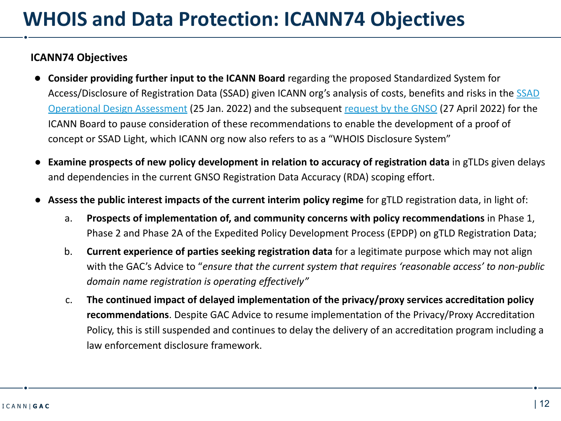### **ICANN74 Objectives**

- **● Consider providing further input to the ICANN Board** regarding the proposed Standardized System for Access/Disclosure of Registration Data ([SSAD](https://www.icann.org/en/system/files/files/ssad-oda-25jan22-en.pdf)) given ICANN org's analysis of costs, benefits and risks in the SSAD [Operational Design Assessment](https://www.icann.org/en/system/files/files/ssad-oda-25jan22-en.pdf) (25 Jan. 2022) and the subsequent [request by the GNSO](https://gnso.icann.org/sites/default/files/policy/2022/correspondence/fouquart-to-botterman-27apr22-en.pdf) (27 April 2022) for the ICANN Board to pause consideration of these recommendations to enable the development of a proof of concept or SSAD Light, which ICANN org now also refers to as a "WHOIS Disclosure System"
- **Examine prospects of new policy development in relation to accuracy of registration data in gTLDs given delays** and dependencies in the current GNSO Registration Data Accuracy (RDA) scoping effort.
- **● Assess the public interest impacts of the current interim policy regime** for gTLD registration data, in light of:
	- a. **Prospects of implementation of, and community concerns with policy recommendations** in Phase 1, Phase 2 and Phase 2A of the Expedited Policy Development Process (EPDP) on gTLD Registration Data;
	- b. **Current experience of parties seeking registration data** for a legitimate purpose which may not align with the GAC's Advice to "*ensure that the current system that requires 'reasonable access' to non-public domain name registration is operating effectively"*
	- c. **The continued impact of delayed implementation of the privacy/proxy services accreditation policy recommendations**. Despite GAC Advice to resume implementation of the Privacy/Proxy Accreditation Policy, this is still suspended and continues to delay the delivery of an accreditation program including a law enforcement disclosure framework.